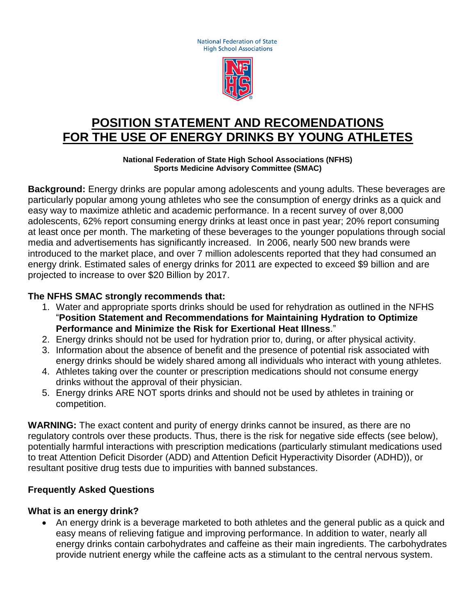**National Federation of State High School Associations** 



# **POSITION STATEMENT AND RECOMENDATIONS FOR THE USE OF ENERGY DRINKS BY YOUNG ATHLETES**

**National Federation of State High School Associations (NFHS) Sports Medicine Advisory Committee (SMAC)**

**Background:** Energy drinks are popular among adolescents and young adults. These beverages are particularly popular among young athletes who see the consumption of energy drinks as a quick and easy way to maximize athletic and academic performance. In a recent survey of over 8,000 adolescents, 62% report consuming energy drinks at least once in past year; 20% report consuming at least once per month. The marketing of these beverages to the younger populations through social media and advertisements has significantly increased. In 2006, nearly 500 new brands were introduced to the market place, and over 7 million adolescents reported that they had consumed an energy drink. Estimated sales of energy drinks for 2011 are expected to exceed \$9 billion and are projected to increase to over \$20 Billion by 2017.

#### **The NFHS SMAC strongly recommends that:**

- 1. Water and appropriate sports drinks should be used for rehydration as outlined in the NFHS "**Position Statement and Recommendations for Maintaining Hydration to Optimize Performance and Minimize the Risk for Exertional Heat Illness**."
- 2. Energy drinks should not be used for hydration prior to, during, or after physical activity.
- 3. Information about the absence of benefit and the presence of potential risk associated with energy drinks should be widely shared among all individuals who interact with young athletes.
- 4. Athletes taking over the counter or prescription medications should not consume energy drinks without the approval of their physician.
- 5. Energy drinks ARE NOT sports drinks and should not be used by athletes in training or competition.

**WARNING:** The exact content and purity of energy drinks cannot be insured, as there are no regulatory controls over these products. Thus, there is the risk for negative side effects (see below), potentially harmful interactions with prescription medications (particularly stimulant medications used to treat Attention Deficit Disorder (ADD) and Attention Deficit Hyperactivity Disorder (ADHD)), or resultant positive drug tests due to impurities with banned substances.

#### **Frequently Asked Questions**

#### **What is an energy drink?**

 An energy drink is a beverage marketed to both athletes and the general public as a quick and easy means of relieving fatigue and improving performance. In addition to water, nearly all energy drinks contain carbohydrates and caffeine as their main ingredients. The carbohydrates provide nutrient energy while the caffeine acts as a stimulant to the central nervous system.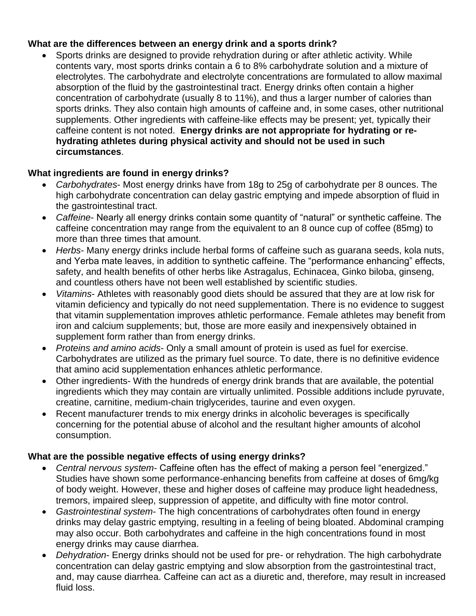### **What are the differences between an energy drink and a sports drink?**

 Sports drinks are designed to provide rehydration during or after athletic activity. While contents vary, most sports drinks contain a 6 to 8% carbohydrate solution and a mixture of electrolytes. The carbohydrate and electrolyte concentrations are formulated to allow maximal absorption of the fluid by the gastrointestinal tract. Energy drinks often contain a higher concentration of carbohydrate (usually 8 to 11%), and thus a larger number of calories than sports drinks. They also contain high amounts of caffeine and, in some cases, other nutritional supplements. Other ingredients with caffeine-like effects may be present; yet, typically their caffeine content is not noted. **Energy drinks are not appropriate for hydrating or rehydrating athletes during physical activity and should not be used in such circumstances**.

# **What ingredients are found in energy drinks?**

- *Carbohydrates* Most energy drinks have from 18g to 25g of carbohydrate per 8 ounces. The high carbohydrate concentration can delay gastric emptying and impede absorption of fluid in the gastrointestinal tract.
- *Caffeine* Nearly all energy drinks contain some quantity of "natural" or synthetic caffeine. The caffeine concentration may range from the equivalent to an 8 ounce cup of coffee (85mg) to more than three times that amount.
- *Herbs* Many energy drinks include herbal forms of caffeine such as guarana seeds, kola nuts, and Yerba mate leaves, in addition to synthetic caffeine. The "performance enhancing" effects, safety, and health benefits of other herbs like Astragalus, Echinacea, Ginko biloba, ginseng, and countless others have not been well established by scientific studies.
- *Vitamins* Athletes with reasonably good diets should be assured that they are at low risk for vitamin deficiency and typically do not need supplementation. There is no evidence to suggest that vitamin supplementation improves athletic performance. Female athletes may benefit from iron and calcium supplements; but, those are more easily and inexpensively obtained in supplement form rather than from energy drinks.
- *Proteins and amino acids* Only a small amount of protein is used as fuel for exercise. Carbohydrates are utilized as the primary fuel source. To date, there is no definitive evidence that amino acid supplementation enhances athletic performance.
- Other ingredients- With the hundreds of energy drink brands that are available, the potential ingredients which they may contain are virtually unlimited. Possible additions include pyruvate, creatine, carnitine, medium-chain triglycerides, taurine and even oxygen.
- Recent manufacturer trends to mix energy drinks in alcoholic beverages is specifically concerning for the potential abuse of alcohol and the resultant higher amounts of alcohol consumption.

# **What are the possible negative effects of using energy drinks?**

- *Central nervous system* Caffeine often has the effect of making a person feel "energized." Studies have shown some performance-enhancing benefits from caffeine at doses of 6mg/kg of body weight. However, these and higher doses of caffeine may produce light headedness, tremors, impaired sleep, suppression of appetite, and difficulty with fine motor control.
- *Gastrointestinal system* The high concentrations of carbohydrates often found in energy drinks may delay gastric emptying, resulting in a feeling of being bloated. Abdominal cramping may also occur. Both carbohydrates and caffeine in the high concentrations found in most energy drinks may cause diarrhea.
- *Dehydration* Energy drinks should not be used for pre- or rehydration. The high carbohydrate concentration can delay gastric emptying and slow absorption from the gastrointestinal tract, and, may cause diarrhea. Caffeine can act as a diuretic and, therefore, may result in increased fluid loss.